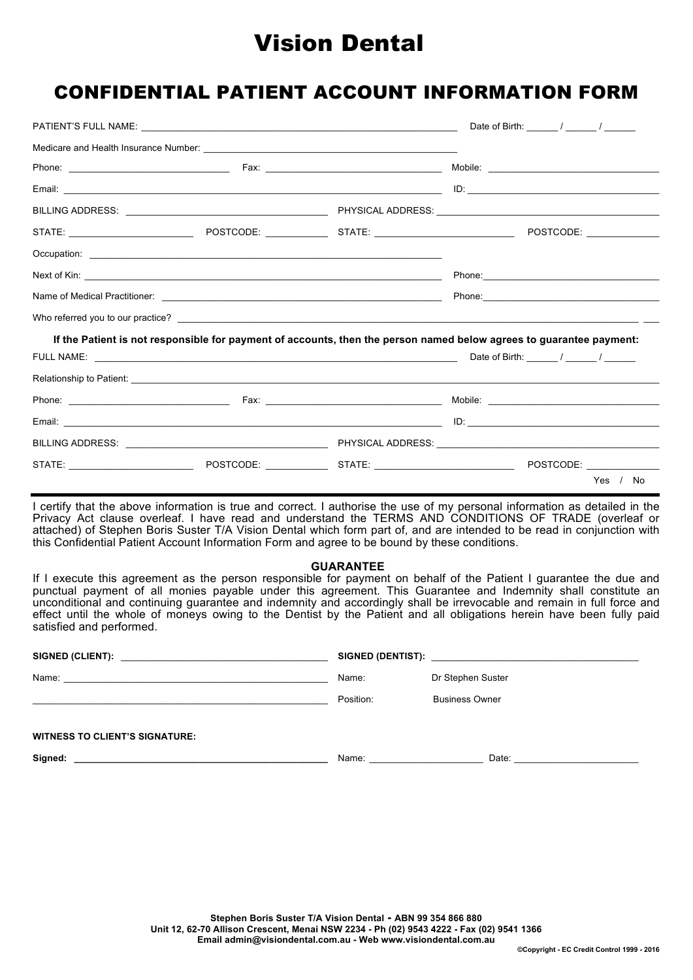# Vision Dental

## CONFIDENTIAL PATIENT ACCOUNT INFORMATION FORM

|  |                                                                                                                     |  |  | Date of Birth: $\frac{1}{2}$ / $\frac{1}{2}$ / $\frac{1}{2}$                                                  |  |
|--|---------------------------------------------------------------------------------------------------------------------|--|--|---------------------------------------------------------------------------------------------------------------|--|
|  |                                                                                                                     |  |  |                                                                                                               |  |
|  |                                                                                                                     |  |  |                                                                                                               |  |
|  |                                                                                                                     |  |  | $ID:$ $\qquad \qquad$                                                                                         |  |
|  |                                                                                                                     |  |  |                                                                                                               |  |
|  |                                                                                                                     |  |  |                                                                                                               |  |
|  |                                                                                                                     |  |  |                                                                                                               |  |
|  |                                                                                                                     |  |  |                                                                                                               |  |
|  |                                                                                                                     |  |  | Phone: 2008 2009 2010 2020 2021 2022 2023 2024 2022 2022 2023 2024 2022 2023 2024 2022 2023 2024 2022 2023 20 |  |
|  |                                                                                                                     |  |  |                                                                                                               |  |
|  | If the Patient is not responsible for payment of accounts, then the person named below agrees to guarantee payment: |  |  |                                                                                                               |  |
|  |                                                                                                                     |  |  |                                                                                                               |  |
|  |                                                                                                                     |  |  |                                                                                                               |  |
|  |                                                                                                                     |  |  |                                                                                                               |  |
|  |                                                                                                                     |  |  |                                                                                                               |  |
|  |                                                                                                                     |  |  |                                                                                                               |  |
|  |                                                                                                                     |  |  |                                                                                                               |  |
|  |                                                                                                                     |  |  | Yes / No                                                                                                      |  |

I certify that the above information is true and correct. I authorise the use of my personal information as detailed in the Privacy Act clause overleaf. I have read and understand the TERMS AND CONDITIONS OF TRADE (overleaf or attached) of Stephen Boris Suster T/A Vision Dental which form part of, and are intended to be read in conjunction with this Confidential Patient Account Information Form and agree to be bound by these conditions.

## **GUARANTEE**

If I execute this agreement as the person responsible for payment on behalf of the Patient I guarantee the due and punctual payment of all monies payable under this agreement. This Guarantee and Indemnity shall constitute an unconditional and continuing guarantee and indemnity and accordingly shall be irrevocable and remain in full force and effect until the whole of moneys owing to the Dentist by the Patient and all obligations herein have been fully paid satisfied and performed.

| Name: 2008. 2009. 2009. 2010. 2010. 2010. 2010. 2010. 2010. 2010. 2010. 2010. 2010. 2010. 2010. 2010. 2010. 20 | Name:                                                                                                                                                                                                                         | Dr Stephen Suster                                                                                                                                                                                                              |
|----------------------------------------------------------------------------------------------------------------|-------------------------------------------------------------------------------------------------------------------------------------------------------------------------------------------------------------------------------|--------------------------------------------------------------------------------------------------------------------------------------------------------------------------------------------------------------------------------|
|                                                                                                                | Position:                                                                                                                                                                                                                     | <b>Business Owner</b>                                                                                                                                                                                                          |
| <b>WITNESS TO CLIENT'S SIGNATURE:</b>                                                                          |                                                                                                                                                                                                                               |                                                                                                                                                                                                                                |
| Signed:<br><u> 1989 - Johann Stoff, amerikansk politiker (d. 1989)</u>                                         | Name: will be a series of the series of the series of the series of the series of the series of the series of the series of the series of the series of the series of the series of the series of the series of the series of | Date: the contract of the contract of the contract of the contract of the contract of the contract of the contract of the contract of the contract of the contract of the contract of the contract of the contract of the cont |